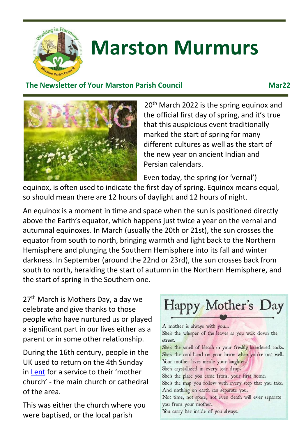

# **Marston Murmurs**

### **The Newsletter of Your Marston Parish Council Communist Connect Marzover Marzover Marzover Marzover Marzover Marzover Marzover Marzover Marzover Marzover Marzover Marzover Marzover Marzover Marzover Marzover Marzover Marz**



20<sup>th</sup> March 2022 is the spring equinox and the official first day of spring, and it's true that this auspicious event traditionally marked the start of spring for many different cultures as well as the start of the new year on ancient Indian and Persian calendars.

Even today, the spring (or 'vernal')

equinox, is often used to indicate the first day of spring. Equinox means equal, so should mean there are 12 hours of daylight and 12 hours of night.

An equinox is a moment in time and space when the sun is positioned directly above the Earth's equator, which happens just twice a year on the vernal and autumnal equinoxes. In March (usually the 20th or 21st), the sun crosses the equator from south to north, bringing warmth and light back to the Northern Hemisphere and plunging the Southern Hemisphere into its fall and winter darkness. In September (around the 22nd or 23rd), the sun crosses back from south to north, heralding the start of autumn in the Northern Hemisphere, and the start of spring in the Southern one.

27<sup>th</sup> March is Mothers Day, a day we celebrate and give thanks to those people who have nurtured us or played a significant part in our lives either as a parent or in some other relationship.

During the 16th century, people in the UK used to return on the 4th Sunday in [Lent](https://www.bbc.co.uk/religion/religions/christianity/holydays/lent_1.shtml) for a service to their 'mother church' - the main church or cathedral of the area.

This was either the church where you were baptised, or the local parish

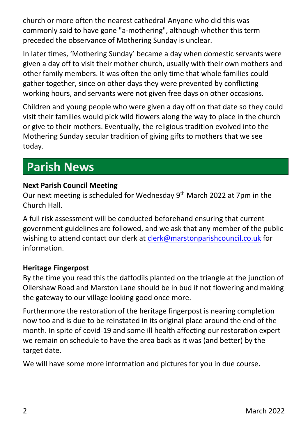church or more often the nearest cathedral. Anyone who did this was commonly said to have gone "a-mothering", although whether this term preceded the observance of Mothering Sunday is unclear.

In later times, 'Mothering Sunday' became a day when domestic servants were given a day off to visit their mother church, usually with their own mothers and other family members. It was often the only time that whole families could gather together, since on other days they were prevented by conflicting working hours, and servants were not given free days on other occasions.

Children and young people who were given a day off on that date so they could visit their families would pick wild flowers along the way to place in the church or give to their mothers. Eventually, the religious tradition evolved into the Mothering Sunday secular tradition of giving gifts to mothers that we see today.

### **Parish News**

### **Next Parish Council Meeting**

Our next meeting is scheduled for Wednesday 9<sup>th</sup> March 2022 at 7pm in the Church Hall.

A full risk assessment will be conducted beforehand ensuring that current government guidelines are followed, and we ask that any member of the public wishing to attend contact our clerk at [clerk@marstonparishcouncil.co.uk](mailto:clerk@marstonparishcouncil.co.uk) for information.

#### **Heritage Fingerpost**

By the time you read this the daffodils planted on the triangle at the junction of Ollershaw Road and Marston Lane should be in bud if not flowering and making the gateway to our village looking good once more.

Furthermore the restoration of the heritage fingerpost is nearing completion now too and is due to be reinstated in its original place around the end of the month. In spite of covid-19 and some ill health affecting our restoration expert we remain on schedule to have the area back as it was (and better) by the target date.

We will have some more information and pictures for you in due course.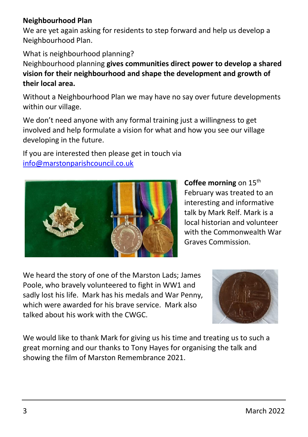#### **Neighbourhood Plan**

We are yet again asking for residents to step forward and help us develop a Neighbourhood Plan.

What is neighbourhood planning?

Neighbourhood planning **gives communities direct power to develop a shared vision for their neighbourhood and shape the development and growth of their local area.** 

Without a Neighbourhood Plan we may have no say over future developments within our village.

We don't need anyone with any formal training just a willingness to get involved and help formulate a vision for what and how you see our village developing in the future.

If you are interested then please get in touch via [info@marstonparishcouncil.co.uk](mailto:info@marstonparishcouncil.co.uk)



**Coffee morning** on 15<sup>th</sup> February was treated to an interesting and informative talk by Mark Relf. Mark is a local historian and volunteer with the Commonwealth War Graves Commission.

We heard the story of one of the Marston Lads; James Poole, who bravely volunteered to fight in WW1 and sadly lost his life. Mark has his medals and War Penny, which were awarded for his brave service. Mark also talked about his work with the CWGC.



We would like to thank Mark for giving us his time and treating us to such a great morning and our thanks to Tony Hayes for organising the talk and showing the film of Marston Remembrance 2021.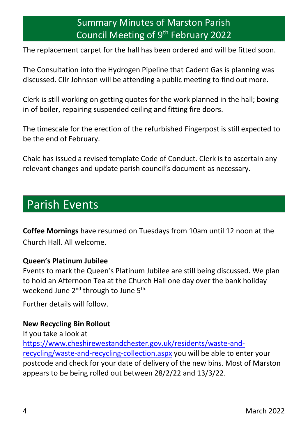### Summary Minutes of Marston Parish Council Meeting of 9<sup>th</sup> February 2022

The replacement carpet for the hall has been ordered and will be fitted soon.

The Consultation into the Hydrogen Pipeline that Cadent Gas is planning was discussed. Cllr Johnson will be attending a public meeting to find out more.

Clerk is still working on getting quotes for the work planned in the hall; boxing in of boiler, repairing suspended ceiling and fitting fire doors.

The timescale for the erection of the refurbished Fingerpost is still expected to be the end of February.

Chalc has issued a revised template Code of Conduct. Clerk is to ascertain any relevant changes and update parish council's document as necessary.

### Parish Events

**Coffee Mornings** have resumed on Tuesdays from 10am until 12 noon at the Church Hall. All welcome.

#### **Queen's Platinum Jubilee**

Events to mark the Queen's Platinum Jubilee are still being discussed. We plan to hold an Afternoon Tea at the Church Hall one day over the bank holiday weekend June 2<sup>nd</sup> through to June 5<sup>th.</sup>

Further details will follow.

#### **New Recycling Bin Rollout**

If you take a look at [https://www.cheshirewestandchester.gov.uk/residents/waste-and](https://www.cheshirewestandchester.gov.uk/residents/waste-and-recycling/waste-and-recycling-collection.aspx)[recycling/waste-and-recycling-collection.aspx](https://www.cheshirewestandchester.gov.uk/residents/waste-and-recycling/waste-and-recycling-collection.aspx) you will be able to enter your postcode and check for your date of delivery of the new bins. Most of Marston appears to be being rolled out between 28/2/22 and 13/3/22.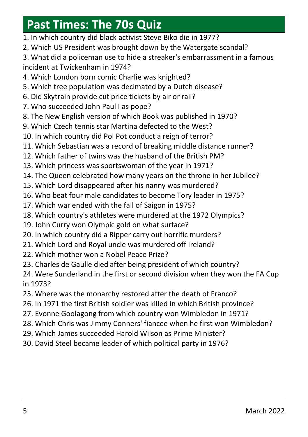### **Past Times: The 70s Quiz**

- 1. In which country did black activist Steve Biko die in 1977?
- 2. Which US President was brought down by the Watergate scandal?
- 3. What did a policeman use to hide a streaker's embarrassment in a famous incident at Twickenham in 1974?
- 4. Which London born comic Charlie was knighted?
- 5. Which tree population was decimated by a Dutch disease?
- 6. Did Skytrain provide cut price tickets by air or rail?
- 7. Who succeeded John Paul I as pope?
- 8. The New English version of which Book was published in 1970?
- 9. Which Czech tennis star Martina defected to the West?
- 10. In which country did Pol Pot conduct a reign of terror?
- 11. Which Sebastian was a record of breaking middle distance runner?
- 12. Which father of twins was the husband of the British PM?
- 13. Which princess was sportswoman of the year in 1971?
- 14. The Queen celebrated how many years on the throne in her Jubilee?
- 15. Which Lord disappeared after his nanny was murdered?
- 16. Who beat four male candidates to become Tory leader in 1975?
- 17. Which war ended with the fall of Saigon in 1975?
- 18. Which country's athletes were murdered at the 1972 Olympics?
- 19. John Curry won Olympic gold on what surface?
- 20. In which country did a Ripper carry out horrific murders?
- 21. Which Lord and Royal uncle was murdered off Ireland?
- 22. Which mother won a Nobel Peace Prize?
- 23. Charles de Gaulle died after being president of which country?
- 24. Were Sunderland in the first or second division when they won the FA Cup in 1973?
- 25. Where was the monarchy restored after the death of Franco?
- 26. In 1971 the first British soldier was killed in which British province?
- 27. Evonne Goolagong from which country won Wimbledon in 1971?
- 28. Which Chris was Jimmy Conners' fiancee when he first won Wimbledon?
- 29. Which James succeeded Harold Wilson as Prime Minister?
- 30. David Steel became leader of which political party in 1976?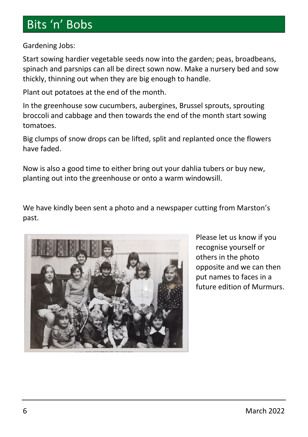### Bits 'n' Bobs

Gardening Jobs:

Start sowing hardier vegetable seeds now into the garden; peas, broadbeans, spinach and parsnips can all be direct sown now. Make a nursery bed and sow thickly, thinning out when they are big enough to handle.

Plant out potatoes at the end of the month.

In the greenhouse sow cucumbers, aubergines, Brussel sprouts, sprouting broccoli and cabbage and then towards the end of the month start sowing tomatoes.

Big clumps of snow drops can be lifted, split and replanted once the flowers have faded.

Now is also a good time to either bring out your dahlia tubers or buy new, planting out into the greenhouse or onto a warm windowsill.

We have kindly been sent a photo and a newspaper cutting from Marston's past.



Please let us know if you recognise yourself or others in the photo opposite and we can then put names to faces in a future edition of Murmurs.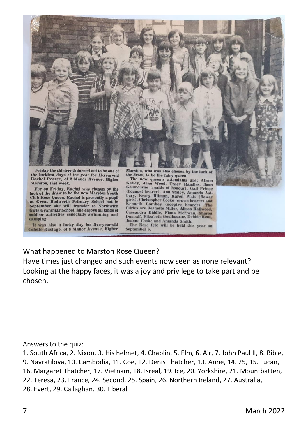

For on Friday, Rachel was chosen by the luck of the draw to be the new Marston Youth Club Rose Queen. Rachel is presently a pupil at Great Budworth Primary School but in<br>September she will transfer to Northwich Girls Grammar School. She enjoys all kinds of outdoor activities especially swimming and camping.

It was also a lucky day for five-year-old<br>Colette Rustage, of 8 Manor Avenue, Higher

The new queen's attendants are: Alison<br>Galtley, Jean Wood, Tracy Randles, Joann<br>Goulbourne (maids of honour), Gall Prince<br>(bouquet bearer), Amn Staley, Amanda Ast-<br>bury, Kerry Hilman, Karen Platt (flower<br>girls), Christophe gars), cursuspier coose (crown bearer) and<br>fairies are Jeanette Miller, Alison Hallwood,<br>Cassandra Biddle, Fiona McEwan, Sharon<br>Duncalf, Elizabeth Goulbourne, Debbie Kent, Joanne Cooke and Amanda Smith.

The Rose fete will be held this year on September 6.

What happened to Marston Rose Queen?

Have times just changed and such events now seen as none relevant? Looking at the happy faces, it was a joy and privilege to take part and be chosen.

Answers to the quiz:

1. South Africa, 2. Nixon, 3. His helmet, 4. Chaplin, 5. Elm, 6. Air, 7. John Paul II, 8. Bible,

9. Navratilova, 10. Cambodia, 11. Coe, 12. Denis Thatcher, 13. Anne, 14. 25, 15. Lucan,

16. Margaret Thatcher, 17. Vietnam, 18. Isreal, 19. Ice, 20. Yorkshire, 21. Mountbatten,

22. Teresa, 23. France, 24. Second, 25. Spain, 26. Northern Ireland, 27. Australia,

28. Evert, 29. Callaghan. 30. Liberal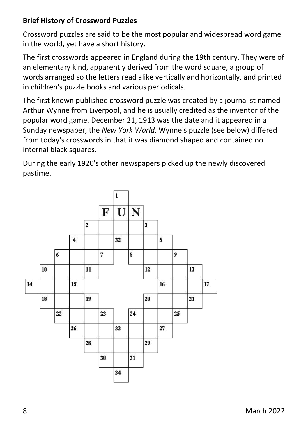### **Brief History of Crossword Puzzles**

Crossword puzzles are said to be the most popular and widespread word game in the world, yet have a short history.

The first crosswords appeared in England during the 19th century. They were of an elementary kind, apparently derived from the word square, a group of words arranged so the letters read alike vertically and horizontally, and printed in children's puzzle books and various periodicals.

The first known published crossword puzzle was created by a journalist named Arthur Wynne from Liverpool, and he is usually credited as the inventor of the popular word game. December 21, 1913 was the date and it appeared in a Sunday newspaper, the *New York World*. Wynne's puzzle (see below) differed from today's crosswords in that it was diamond shaped and contained no internal black squares.

During the early 1920's other newspapers picked up the newly discovered pastime.

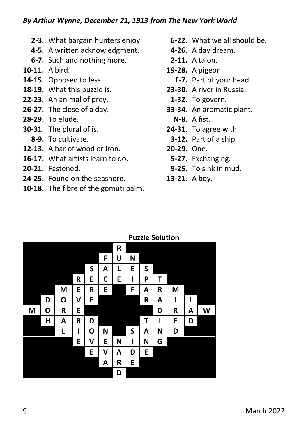- **2-3.** What bargain hunters enjoy. **6-22.** What we all should be.
- **4-5.** A written acknowledgment. **4-26.** A day dream.
- **6-7.** Such and nothing more. **2-11.** A talon.
- 
- **14-15.** Opposed to less. **F-7.** Part of your head.
- **18-19.** What this puzzle is. **23-30.** A river in Russia.
- **22-23.** An animal of prey. **1-32.** To govern.
- 
- **28-29.** To elude. **N-8.** A fist.
- **30-31.** The plural of is. **24-31.** To agree with.
	-
- **12-13.** A bar of wood or iron. **20-29.** One.
- **16-17.** What artists learn to do. **5-27.** Exchanging.
- 
- **24-25.** Found on the seashore. **13-21.** A boy.
- **10-18.** The fibre of the gomuti palm.
- 
- 
- 
- **10-11.** A bird. **19-28.** A pigeon.
	-
	- -
- **26-27.** The close of a day. **33-34.** An aromatic plant.
	-
	-
	- **8-9.** To cultivate. **3-12.** Part of a ship.
		- -
- **20-21.** Fastened. **9-25.** To sink in mud.
	-

|   |   |   |   |   |   | R |   |   |   |   |   |   |
|---|---|---|---|---|---|---|---|---|---|---|---|---|
|   |   |   |   |   | F | U | N |   |   |   |   |   |
|   |   |   |   | S | A | L | E | S |   |   |   |   |
|   |   |   | R | E | C | E | ı | P | Т |   |   |   |
|   |   | M | E | R | E |   | F | Α | R | M |   |   |
|   | D | O | V | E |   |   |   | R | Α | ı | L |   |
| M | О | R | E |   |   |   |   |   | D | R | Α | W |
|   | Н | Α | R | D |   |   |   | T | ı | E | D |   |
|   |   | L | ı | Ο | N |   | S | A | N | D |   |   |
|   |   |   | E | ٧ | E | N | ı | N | G |   |   |   |
|   |   |   |   | E | ٧ | Α | D | E |   |   |   |   |
|   |   |   |   |   | A | R | E |   |   |   |   |   |
|   |   |   |   |   |   | D |   |   |   |   |   |   |

### **Puzzle Solution**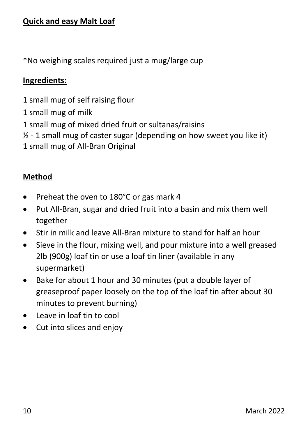\*No weighing scales required just a mug/large cup

### **Ingredients:**

- 1 small mug of self raising flour
- 1 small mug of milk
- 1 small mug of mixed dried fruit or sultanas/raisins
- $\frac{1}{2}$  1 small mug of caster sugar (depending on how sweet you like it)
- 1 small mug of All-Bran Original

### **Method**

- Preheat the oven to 180°C or gas mark 4
- Put All-Bran, sugar and dried fruit into a basin and mix them well together
- Stir in milk and leave All-Bran mixture to stand for half an hour
- Sieve in the flour, mixing well, and pour mixture into a well greased 2lb (900g) loaf tin or use a loaf tin liner (available in any supermarket)
- Bake for about 1 hour and 30 minutes (put a double layer of greaseproof paper loosely on the top of the loaf tin after about 30 minutes to prevent burning)
- Leave in loaf tin to cool
- Cut into slices and enjoy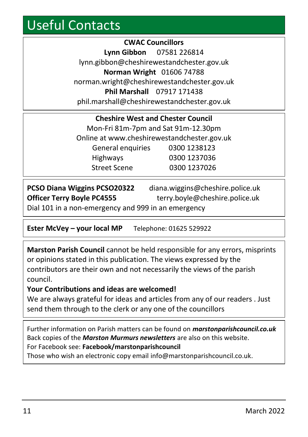### Useful Contacts

**CWAC Councillors Lynn Gibbon** 07581 226814 lynn.gibbon@cheshirewestandchester.gov.uk **Norman Wright** 01606 74788 norman.wright@cheshirewestandchester.gov.uk **Phil Marshall** 07917 171438 phil.marshall@cheshirewestandchester.gov.uk

| <b>Cheshire West and Chester Council</b>    |              |  |  |  |  |
|---------------------------------------------|--------------|--|--|--|--|
| Mon-Fri 81m-7pm and Sat 91m-12.30pm         |              |  |  |  |  |
| Online at www.cheshirewestandchester.gov.uk |              |  |  |  |  |
| General enquiries                           | 0300 1238123 |  |  |  |  |
| Highways                                    | 0300 1237036 |  |  |  |  |
| <b>Street Scene</b>                         | 0300 1237026 |  |  |  |  |

| PCSO Diana Wiggins PCSO20322                        | diana.wiggins@cheshire.police.uk |  |  |  |
|-----------------------------------------------------|----------------------------------|--|--|--|
| <b>Officer Terry Boyle PC4555</b>                   | terry.boyle@cheshire.police.uk   |  |  |  |
| Dial 101 in a non-emergency and 999 in an emergency |                                  |  |  |  |

**Ester McVey – your local MP** Telephone: 01625 529922

**Marston Parish Council** cannot be held responsible for any errors, misprints or opinions stated in this publication. The views expressed by the contributors are their own and not necessarily the views of the parish council.

#### **Your Contributions and ideas are welcomed!**

We are always grateful for ideas and articles from any of our readers . Just send them through to the clerk or any one of the councillors

Further information on Parish matters can be found on *marstonparishcouncil.co.uk* Back copies of the *Marston Murmurs newsletters* are also on this website. For Facebook see: **Facebook/marstonparishcouncil**

Those who wish an electronic copy email info@marstonparishcouncil.co.uk.